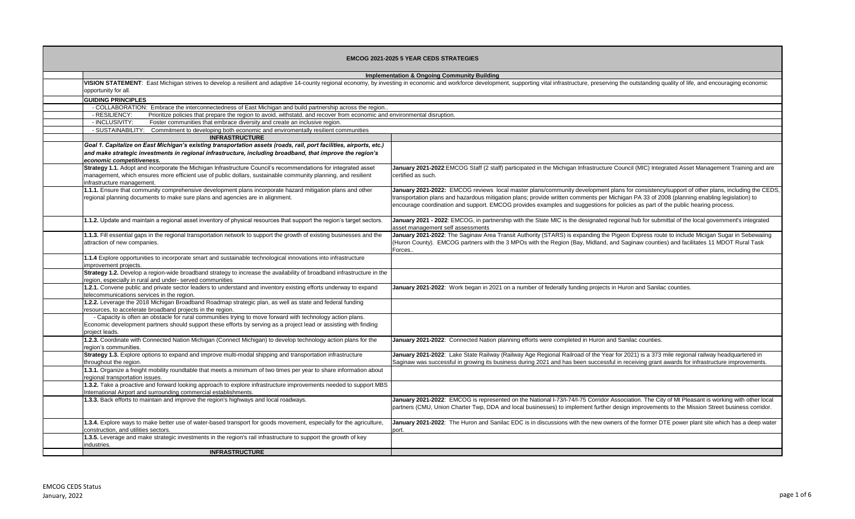| <b>EMCOG 2021-2025 5 YEAR CEDS STRATEGIES</b> |                                                                                                                                                                                                                                                               |                                                                                                                                                                                                                                                                                                                                                                                                                               |
|-----------------------------------------------|---------------------------------------------------------------------------------------------------------------------------------------------------------------------------------------------------------------------------------------------------------------|-------------------------------------------------------------------------------------------------------------------------------------------------------------------------------------------------------------------------------------------------------------------------------------------------------------------------------------------------------------------------------------------------------------------------------|
|                                               |                                                                                                                                                                                                                                                               | <b>Implementation &amp; Ongoing Community Building</b>                                                                                                                                                                                                                                                                                                                                                                        |
|                                               | VISION STATEMENT: East Michigan strives to develop a resilient and adaptive 14-county regional economy, by investing in economic and workforce development, supporting vital infrastructure, preserving the outstanding qualit<br>opportunity for all.        |                                                                                                                                                                                                                                                                                                                                                                                                                               |
|                                               | <b>GUIDING PRINCIPLES</b>                                                                                                                                                                                                                                     |                                                                                                                                                                                                                                                                                                                                                                                                                               |
|                                               | - COLLABORATION: Embrace the interconnectedness of East Michigan and build partnership across the region.                                                                                                                                                     |                                                                                                                                                                                                                                                                                                                                                                                                                               |
|                                               | - RESILIENCY:<br>Prioritize policies that prepare the region to avoid, withstatd, and recover from economic and environmental disruption.                                                                                                                     |                                                                                                                                                                                                                                                                                                                                                                                                                               |
|                                               | - INCLUSIVITY:<br>Foster communities that embrace diversity and create an inclusive region.                                                                                                                                                                   |                                                                                                                                                                                                                                                                                                                                                                                                                               |
|                                               | - SUSTAINABILITY: Commitment to developing both economic and enviromentally resilient communities                                                                                                                                                             |                                                                                                                                                                                                                                                                                                                                                                                                                               |
|                                               | <b>INFRASTRUCTURE</b>                                                                                                                                                                                                                                         |                                                                                                                                                                                                                                                                                                                                                                                                                               |
|                                               | Goal 1. Capitalize on East Michigan's existing transportation assets (roads, rail, port facilities, airports, etc.)<br>and make strategic investments in regional infrastructure, including broadband, that improve the region's<br>economic competitiveness. |                                                                                                                                                                                                                                                                                                                                                                                                                               |
|                                               | Strategy 1.1. Adopt and incorporate the Michigan Infrastructure Council's recommendations for integrated asset<br>management, which ensures more efficient use of public dollars, sustainable community planning, and resilient<br>infrastructure management. | January 2021-2022:EMCOG Staff (2 staff) participated in the Michigan Infrastructure Council (MIC) Integrated Asset Management Training and are<br>certified as such.                                                                                                                                                                                                                                                          |
|                                               | 1.1.1. Ensure that community comprehensive development plans incorporate hazard mitigation plans and other<br>regional planning documents to make sure plans and agencies are in alignment.                                                                   | January 2021-2022: EMCOG reviews local master plans/community development plans for consistency/support of other plans, including the CEDS,<br>transportation plans and hazardous mitigation plans; provide written comments per Michigan PA 33 of 2008 (planning enabling legislation) to<br>encourage coordination and support. EMCOG provides examples and suggestions for policies as part of the public hearing process. |
|                                               | 1.1.2. Update and maintain a regional asset inventory of physical resources that support the region's target sectors.                                                                                                                                         | January 2021 - 2022: EMCOG, in partnership with the State MIC is the designated regional hub for submittal of the local government's integrated<br>asset management self assessments                                                                                                                                                                                                                                          |
|                                               | 1.1.3. Fill essential gaps in the regional transportation network to support the growth of existing businesses and the<br>attraction of new companies.                                                                                                        | January 2021-2022: The Saginaw Area Transit Authority (STARS) is expanding the Pigeon Express route to include Micigan Sugar in Sebewaiing<br>(Huron County). EMCOG partners with the 3 MPOs with the Region (Bay, Midland, and Saginaw counties) and facilitates 11 MDOT Rural Task<br>Forces.                                                                                                                               |
|                                               | 1.1.4 Explore opportunities to incorporate smart and sustainable technological innovations into infrastructure<br>improvement projects.                                                                                                                       |                                                                                                                                                                                                                                                                                                                                                                                                                               |
|                                               | Strategy 1.2. Develop a region-wide broadband strategy to increase the availability of broadband infrastructure in the<br>region, especially in rural and under- served communities                                                                           |                                                                                                                                                                                                                                                                                                                                                                                                                               |
|                                               | 1.2.1. Convene public and private sector leaders to understand and inventory existing efforts underway to expand<br>telecommunications services in the region.                                                                                                | January 2021-2022: Work began in 2021 on a number of federally funding projects in Huron and Sanilac counties.                                                                                                                                                                                                                                                                                                                |
|                                               | 1.2.2. Leverage the 2018 Michigan Broadband Roadmap strategic plan, as well as state and federal funding<br>resources, to accelerate broadband projects in the region.                                                                                        |                                                                                                                                                                                                                                                                                                                                                                                                                               |
|                                               | - Capacity is often an obstacle for rural communities trying to move forward with technology action plans.<br>Economic development partners should support these efforts by serving as a project lead or assisting with finding<br>project leads.             |                                                                                                                                                                                                                                                                                                                                                                                                                               |
|                                               | 1.2.3. Coordinate with Connected Nation Michigan (Connect Michigan) to develop technology action plans for the<br>region's communities.                                                                                                                       | January 2021-2022: Connected Nation planning efforts were completed in Huron and Sanilac counties.                                                                                                                                                                                                                                                                                                                            |
|                                               | Strategy 1.3. Explore options to expand and improve multi-modal shipping and transportation infrastructure<br>throughout the region.                                                                                                                          | January 2021-2022: Lake State Railway (Railway Age Regional Railroad of the Year for 2021) is a 373 mile regional railway headquartered in<br>Saginaw was successful in growing its business during 2021 and has been successful in receiving grant awards for infrastructure improvements.                                                                                                                                   |
|                                               | 1.3.1. Organize a freight mobility roundtable that meets a minimum of two times per year to share information about<br>regional transportation issues.                                                                                                        |                                                                                                                                                                                                                                                                                                                                                                                                                               |
|                                               | 1.3.2. Take a proactive and forward looking approach to explore infrastructure improvements needed to support MBS<br>International Airport and surrounding commercial establishments.                                                                         |                                                                                                                                                                                                                                                                                                                                                                                                                               |
|                                               | 1.3.3. Back efforts to maintain and improve the region's highways and local roadways.                                                                                                                                                                         | January 2021-2022: EMCOG is represented on the National I-73/I-74/I-75 Corridor Association. The City of Mt Pleasant is working with other local<br>partners (CMU, Union Charter Twp, DDA and local businesses) to implement further design improvements to the Mission Street business corridor.                                                                                                                             |
|                                               | 1.3.4. Explore ways to make better use of water-based transport for goods movement, especially for the agriculture,<br>construction, and utilities sectors.                                                                                                   | January 2021-2022: The Huron and Sanilac EDC is in discussions with the new owners of the former DTE power plant site which has a deep water<br>port.                                                                                                                                                                                                                                                                         |
|                                               | 1.3.5. Leverage and make strategic investments in the region's rail infrastructure to support the growth of key<br>industries.                                                                                                                                |                                                                                                                                                                                                                                                                                                                                                                                                                               |
|                                               | <b>INFRASTRUCTURE</b>                                                                                                                                                                                                                                         |                                                                                                                                                                                                                                                                                                                                                                                                                               |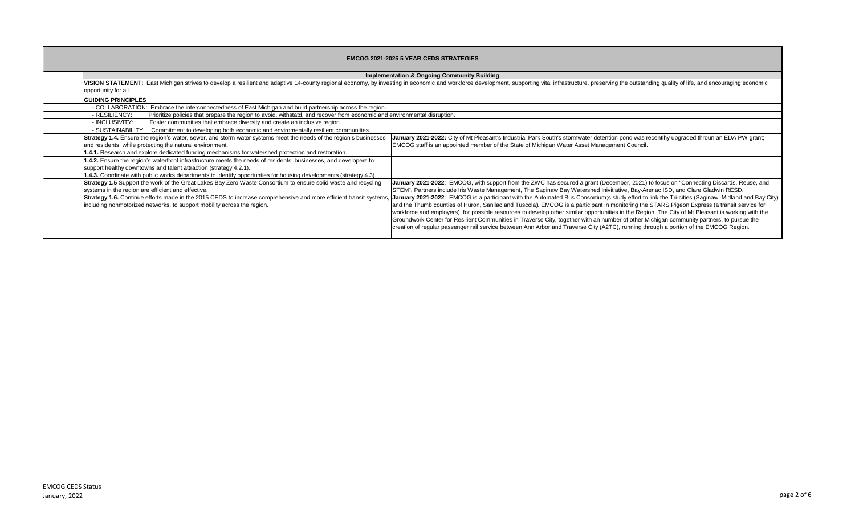| <b>EMCOG 2021-2025 5 YEAR CEDS STRATEGIES</b> |                                                                                                                                                                                                                                                        |                                                                                                                                                                                                                                                                                                                                                                                                                                                                                                                                                                                                                                                                                                                                             |  |
|-----------------------------------------------|--------------------------------------------------------------------------------------------------------------------------------------------------------------------------------------------------------------------------------------------------------|---------------------------------------------------------------------------------------------------------------------------------------------------------------------------------------------------------------------------------------------------------------------------------------------------------------------------------------------------------------------------------------------------------------------------------------------------------------------------------------------------------------------------------------------------------------------------------------------------------------------------------------------------------------------------------------------------------------------------------------------|--|
|                                               |                                                                                                                                                                                                                                                        | <b>Implementation &amp; Ongoing Community Building</b>                                                                                                                                                                                                                                                                                                                                                                                                                                                                                                                                                                                                                                                                                      |  |
|                                               | VISION STATEMENT: East Michigan strives to develop a resilient and adaptive 14-county regional economy, by investing in economic and workforce development, supporting vital infrastructure, preserving the outstanding qualit<br>opportunity for all. |                                                                                                                                                                                                                                                                                                                                                                                                                                                                                                                                                                                                                                                                                                                                             |  |
|                                               | <b>GUIDING PRINCIPLES</b>                                                                                                                                                                                                                              |                                                                                                                                                                                                                                                                                                                                                                                                                                                                                                                                                                                                                                                                                                                                             |  |
|                                               | - COLLABORATION: Embrace the interconnectedness of East Michigan and build partnership across the region                                                                                                                                               |                                                                                                                                                                                                                                                                                                                                                                                                                                                                                                                                                                                                                                                                                                                                             |  |
|                                               | - RESILIENCY:<br>Prioritize policies that prepare the region to avoid, withstatd, and recover from economic and environmental disruption.                                                                                                              |                                                                                                                                                                                                                                                                                                                                                                                                                                                                                                                                                                                                                                                                                                                                             |  |
|                                               | - INCLUSIVITY:<br>Foster communities that embrace diversity and create an inclusive region.                                                                                                                                                            |                                                                                                                                                                                                                                                                                                                                                                                                                                                                                                                                                                                                                                                                                                                                             |  |
|                                               | - SUSTAINABILITY: Commitment to developing both economic and enviromentally resilient communities                                                                                                                                                      |                                                                                                                                                                                                                                                                                                                                                                                                                                                                                                                                                                                                                                                                                                                                             |  |
|                                               | <b>Strategy 1.4.</b> Ensure the region's water, sewer, and storm water systems meet the needs of the region's businesses<br>and residents, while protecting the natural environment.                                                                   | January 2021-2022: City of Mt Pleasant's Industrial Park South's stormwater detention pond was recentlhy upgraded throun an EDA PW grant;<br><b>EMCOG</b> staff is an appointed member of the State of Michigan Water Asset Management Council.                                                                                                                                                                                                                                                                                                                                                                                                                                                                                             |  |
|                                               | 1.4.1. Research and explore dedicated funding mechanisms for watershed protection and restoration.                                                                                                                                                     |                                                                                                                                                                                                                                                                                                                                                                                                                                                                                                                                                                                                                                                                                                                                             |  |
|                                               | 1.4.2. Ensure the region's waterfront infrastructure meets the needs of residents, businesses, and developers to<br>support healthy downtowns and talent attraction (strategy 4.2.1).                                                                  |                                                                                                                                                                                                                                                                                                                                                                                                                                                                                                                                                                                                                                                                                                                                             |  |
|                                               | 1.4.3. Coordinate with public works departments to identify opportunties for housing developments (strategy 4.3).                                                                                                                                      |                                                                                                                                                                                                                                                                                                                                                                                                                                                                                                                                                                                                                                                                                                                                             |  |
|                                               | Strategy 1.5 Support the work of the Great Lakes Bay Zero Waste Consortium to ensure solid waste and recycling<br>systems in the region are efficient and effective.                                                                                   | January 2021-2022: EMCOG, with support from the ZWC has secured a grant (December, 2021) to focus on "Connecting Discards, Reuse, and<br>STEM". Partners include Iris Waste Management, The Saginaw Bay Watershed Inivitiative, Bay-Arenac ISD, and Clare Gladwin RESD.                                                                                                                                                                                                                                                                                                                                                                                                                                                                     |  |
|                                               | Strategy 1.6. Continue efforts made in the 2015 CEDS to increase comprehensive and more efficient transit systems,<br>including nonmotorized networks, to support mobility across the region.                                                          | January 2021-2022: EMCOG is a participant with the Automated Bus Consortium;s study effort to link the Tri-cities (Saginaw, Midland and Bay City)<br>and the Thumb counties of Huron, Sanilac and Tuscola). EMCOG is a participant in monitoring the STARS Pigeon Express (a transit service for<br>workforce and employers) for possible resources to develop other similar opportunities in the Region. The City of Mt Pleasant is working with the<br>Groundwork Center for Resilient Communities in Traverse City, together with an number of other Michigan community partners, to pursue the<br>creation of regular passenger rail service between Ann Arbor and Traverse City (A2TC), running through a portion of the EMCOG Region. |  |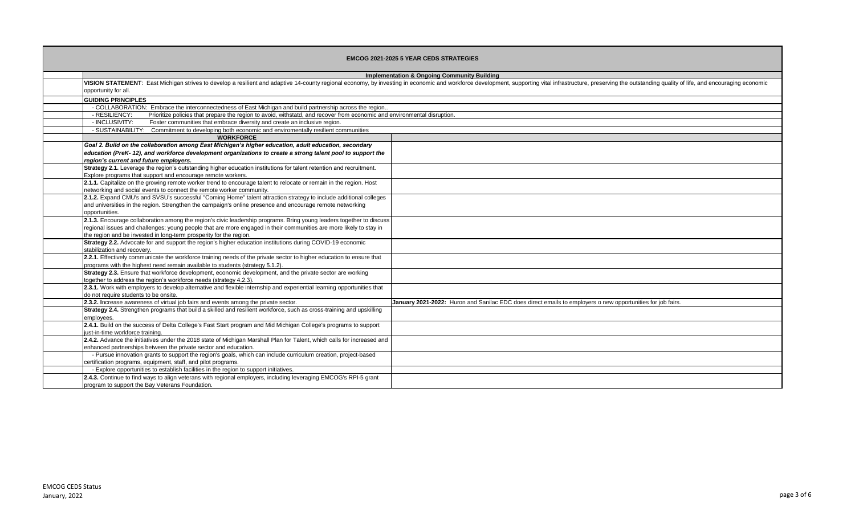| <b>EMCOG 2021-2025 5 YEAR CEDS STRATEGIES</b>                                                                                                                                                                                                                                                                    |                                                                                                                                                                                                                                |
|------------------------------------------------------------------------------------------------------------------------------------------------------------------------------------------------------------------------------------------------------------------------------------------------------------------|--------------------------------------------------------------------------------------------------------------------------------------------------------------------------------------------------------------------------------|
| <b>Implementation &amp; Ongoing Community Building</b>                                                                                                                                                                                                                                                           |                                                                                                                                                                                                                                |
| opportunity for all.                                                                                                                                                                                                                                                                                             | VISION STATEMENT: East Michigan strives to develop a resilient and adaptive 14-county regional economy, by investing in economic and workforce development, supporting vital infrastructure, preserving the outstanding qualit |
| <b>GUIDING PRINCIPLES</b>                                                                                                                                                                                                                                                                                        |                                                                                                                                                                                                                                |
| - COLLABORATION: Embrace the interconnectedness of East Michigan and build partnership across the region                                                                                                                                                                                                         |                                                                                                                                                                                                                                |
| - RESILIENCY:<br>Prioritize policies that prepare the region to avoid, withstatd, and recover from economic and environmental disruption.                                                                                                                                                                        |                                                                                                                                                                                                                                |
| - INCLUSIVITY:<br>Foster communities that embrace diversity and create an inclusive region.                                                                                                                                                                                                                      |                                                                                                                                                                                                                                |
| - SUSTAINABILITY: Commitment to developing both economic and enviromentally resilient communities                                                                                                                                                                                                                |                                                                                                                                                                                                                                |
| <b>WORKFORCE</b>                                                                                                                                                                                                                                                                                                 |                                                                                                                                                                                                                                |
| Goal 2. Build on the collaboration among East Michigan's higher education, adult education, secondary<br>education (PreK-12), and workforce development organizations to create a strong talent pool to support the<br>region's current and future employers.                                                    |                                                                                                                                                                                                                                |
| Strategy 2.1. Leverage the region's outstanding higher education institutions for talent retention and recruitment.<br>Explore programs that support and encourage remote workers.                                                                                                                               |                                                                                                                                                                                                                                |
| 2.1.1. Capitalize on the growing remote worker trend to encourage talent to relocate or remain in the region. Host<br>networking and social events to connect the remote worker community.                                                                                                                       |                                                                                                                                                                                                                                |
| 2.1.2. Expand CMU's and SVSU's successful "Coming Home" talent attraction strategy to include additional colleges<br>and universities in the region. Strengthen the campaign's online presence and encourage remote networking<br>opportunities.                                                                 |                                                                                                                                                                                                                                |
| 2.1.3. Encourage collaboration among the region's civic leadership programs. Bring young leaders together to discuss<br>regional issues and challenges; young people that are more engaged in their communities are more likely to stay in<br>the region and be invested in long-term prosperity for the region. |                                                                                                                                                                                                                                |
| Strategy 2.2. Advocate for and support the region's higher education institutions during COVID-19 economic<br>stabilization and recovery.                                                                                                                                                                        |                                                                                                                                                                                                                                |
| 2.2.1. Effectively communicate the workforce training needs of the private sector to higher education to ensure that<br>programs with the highest need remain available to students (strategy 5.1.2).                                                                                                            |                                                                                                                                                                                                                                |
| Strategy 2.3. Ensure that workforce development, economic development, and the private sector are working<br>together to address the region's workforce needs (strategy 4.2.3).                                                                                                                                  |                                                                                                                                                                                                                                |
| 2.3.1. Work with employers to develop alternative and flexible internship and experiential learning opportunities that<br>do not require students to be onsite.                                                                                                                                                  |                                                                                                                                                                                                                                |
| 2.3.2. Increase awareness of virtual job fairs and events among the private sector.                                                                                                                                                                                                                              | January 2021-2022: Huron and Sanilac EDC does direct emails to employers o new opportunities for job fairs.                                                                                                                    |
| Strategy 2.4. Strengthen programs that build a skilled and resilient workforce, such as cross-training and upskilling<br>employees.                                                                                                                                                                              |                                                                                                                                                                                                                                |
| 2.4.1. Build on the success of Delta College's Fast Start program and Mid Michigan College's programs to support<br>just-in-time workforce training.                                                                                                                                                             |                                                                                                                                                                                                                                |
| 2.4.2. Advance the initiatives under the 2018 state of Michigan Marshall Plan for Talent, which calls for increased and<br>enhanced partnerships between the private sector and education.                                                                                                                       |                                                                                                                                                                                                                                |
| - Pursue innovation grants to support the region's goals, which can include curriculum creation, project-based<br>certification programs, equipment, staff, and pilot programs.                                                                                                                                  |                                                                                                                                                                                                                                |
| - Explore opportunities to establish facilities in the region to support initiatives.                                                                                                                                                                                                                            |                                                                                                                                                                                                                                |
| 2.4.3. Continue to find ways to align veterans with regional employers, including leveraging EMCOG's RPI-5 grant<br>program to support the Bay Veterans Foundation.                                                                                                                                              |                                                                                                                                                                                                                                |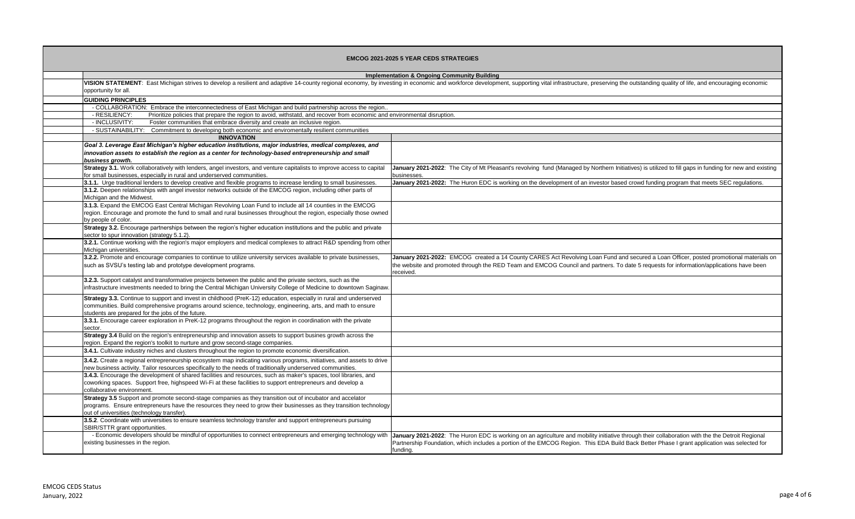| <b>EMCOG 2021-2025 5 YEAR CEDS STRATEGIES</b> |                                                                                                                                                                                                                                                                                        |                                                                                                                                                                                                                                                                                                            |
|-----------------------------------------------|----------------------------------------------------------------------------------------------------------------------------------------------------------------------------------------------------------------------------------------------------------------------------------------|------------------------------------------------------------------------------------------------------------------------------------------------------------------------------------------------------------------------------------------------------------------------------------------------------------|
|                                               |                                                                                                                                                                                                                                                                                        | <b>Implementation &amp; Ongoing Community Building</b>                                                                                                                                                                                                                                                     |
|                                               | VISION STATEMENT: East Michigan strives to develop a resilient and adaptive 14-county regional economy, by investing in economic and workforce development, supporting vital infrastructure, preserving the outstanding qualit<br>opportunity for all.                                 |                                                                                                                                                                                                                                                                                                            |
|                                               | <b>GUIDING PRINCIPLES</b>                                                                                                                                                                                                                                                              |                                                                                                                                                                                                                                                                                                            |
|                                               | - COLLABORATION: Embrace the interconnectedness of East Michigan and build partnership across the region                                                                                                                                                                               |                                                                                                                                                                                                                                                                                                            |
|                                               | - RESILIENCY:<br>Prioritize policies that prepare the region to avoid, withstatd, and recover from economic and environmental disruption.                                                                                                                                              |                                                                                                                                                                                                                                                                                                            |
|                                               | - INCLUSIVITY:<br>Foster communities that embrace diversity and create an inclusive region.                                                                                                                                                                                            |                                                                                                                                                                                                                                                                                                            |
|                                               | - SUSTAINABILITY: Commitment to developing both economic and enviromentally resilient communities                                                                                                                                                                                      |                                                                                                                                                                                                                                                                                                            |
|                                               | <b>INNOVATION</b>                                                                                                                                                                                                                                                                      |                                                                                                                                                                                                                                                                                                            |
|                                               | Goal 3. Leverage East Michigan's higher education institutions, major industries, medical complexes, and                                                                                                                                                                               |                                                                                                                                                                                                                                                                                                            |
|                                               | innovation assets to establish the region as a center for technology-based entrepreneurship and small<br>business growth.                                                                                                                                                              |                                                                                                                                                                                                                                                                                                            |
|                                               | Strategy 3.1. Work collaboratively with lenders, angel investors, and venture capitalists to improve access to capital<br>for small businesses, especially in rural and underserved communities.                                                                                       | January 2021-2022: The City of Mt Pleasant's revolving fund (Managed by Northern Initiatives) is utilized to fill gaps in funding for new and existing<br>businesses.                                                                                                                                      |
|                                               | 3.1.1. Urge traditional lenders to develop creative and flexible programs to increase lending to small businesses.                                                                                                                                                                     | January 2021-2022: The Huron EDC is working on the development of an investor based crowd funding program that meets SEC regulations.                                                                                                                                                                      |
|                                               | 3.1.2. Deepen relationships with angel investor networks outside of the EMCOG region, including other parts of<br>Michigan and the Midwest.                                                                                                                                            |                                                                                                                                                                                                                                                                                                            |
|                                               | 3.1.3. Expand the EMCOG East Central Michigan Revolving Loan Fund to include all 14 counties in the EMCOG                                                                                                                                                                              |                                                                                                                                                                                                                                                                                                            |
|                                               | region. Encourage and promote the fund to small and rural businesses throughout the region, especially those owned<br>by people of color.                                                                                                                                              |                                                                                                                                                                                                                                                                                                            |
|                                               | Strategy 3.2. Encourage partnerships between the region's higher education institutions and the public and private<br>sector to spur innovation (strategy 5.1.2).                                                                                                                      |                                                                                                                                                                                                                                                                                                            |
|                                               | 3.2.1. Continue working with the region's major employers and medical complexes to attract R&D spending from other<br>Michigan universities.                                                                                                                                           |                                                                                                                                                                                                                                                                                                            |
|                                               | 3.2.2. Promote and encourage companies to continue to utilize university services available to private businesses,<br>such as SVSU's testing lab and prototype development programs.                                                                                                   | January 2021-2022: EMCOG created a 14 County CARES Act Revolving Loan Fund and secured a Loan Officer, posted promotional materials on<br>the website and promoted through the RED Team and EMCOG Council and partners. To date 5 requests for information/applications have been<br>received.             |
|                                               | 3.2.3. Support catalyst and transformative projects between the public and the private sectors, such as the<br>infrastructure investments needed to bring the Central Michigan University College of Medicine to downtown Saginaw.                                                     |                                                                                                                                                                                                                                                                                                            |
|                                               | Strategy 3.3. Continue to support and invest in childhood (PreK-12) education, especially in rural and underserved<br>communities. Build comprehensive programs around science, technology, engineering, arts, and math to ensure<br>students are prepared for the jobs of the future. |                                                                                                                                                                                                                                                                                                            |
|                                               | 3.3.1. Encourage career exploration in PreK-12 programs throughout the region in coordination with the private<br>sector.                                                                                                                                                              |                                                                                                                                                                                                                                                                                                            |
|                                               | Strategy 3.4 Build on the region's entrepreneurship and innovation assets to support busines growth across the<br>region. Expand the region's toolkit to nurture and grow second-stage companies.                                                                                      |                                                                                                                                                                                                                                                                                                            |
|                                               | 3.4.1. Cultivate industry niches and clusters throughout the region to promote economic diversification.                                                                                                                                                                               |                                                                                                                                                                                                                                                                                                            |
|                                               | 3.4.2. Create a regional entrepreneurship ecosystem map indicating various programs, initiatives, and assets to drive<br>new business activity. Tailor resources specifically to the needs of traditionally underserved communities.                                                   |                                                                                                                                                                                                                                                                                                            |
|                                               | 3.4.3. Encourage the development of shared facilities and resources, such as maker's spaces, tool libraries, and<br>coworking spaces. Support free, highspeed Wi-Fi at these facilities to support entrepreneurs and develop a<br>collaborative environment.                           |                                                                                                                                                                                                                                                                                                            |
|                                               | Strategy 3.5 Support and promote second-stage companies as they transition out of incubator and accelator<br>programs. Ensure entrepreneurs have the resources they need to grow their businesses as they transition technology<br>out of universities (technology transfer).          |                                                                                                                                                                                                                                                                                                            |
|                                               | 3.5.2. Coordinate with universities to ensure seamless technology transfer and support entrepreneurs pursuing<br>SBIR/STTR grant opportunities.                                                                                                                                        |                                                                                                                                                                                                                                                                                                            |
|                                               | - Economic developers should be mindful of opportunities to connect entrepreneurs and emerging technology with<br>existing businesses in the region.                                                                                                                                   | January 2021-2022: The Huron EDC is working on an agriculture and mobility initiative through their collaboration with the the Detroit Regional<br>Partnership Foundation, which includes a portion of the EMCOG Region. This EDA Build Back Better Phase I grant application was selected for<br>fundina. |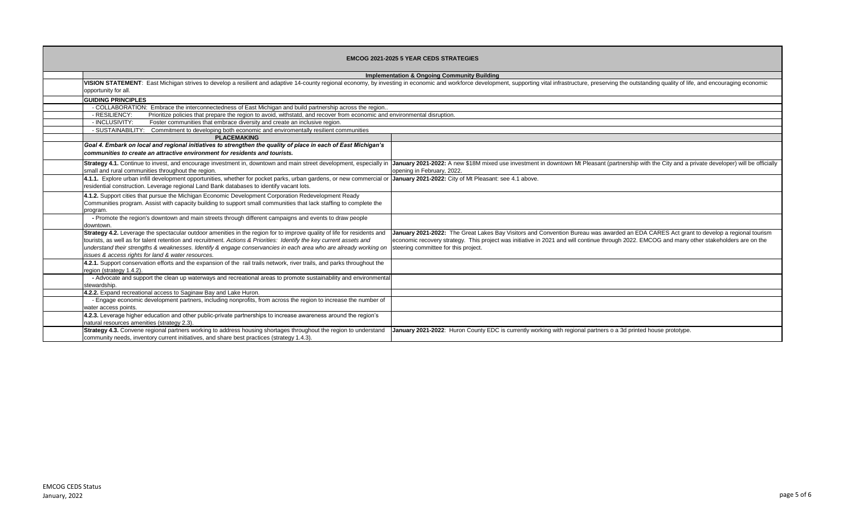| <b>EMCOG 2021-2025 5 YEAR CEDS STRATEGIES</b> |                                                                                                                                                                                                                                                                                                                                                                                                                           |                                                                                                                                                                                                                                                                                                                                |
|-----------------------------------------------|---------------------------------------------------------------------------------------------------------------------------------------------------------------------------------------------------------------------------------------------------------------------------------------------------------------------------------------------------------------------------------------------------------------------------|--------------------------------------------------------------------------------------------------------------------------------------------------------------------------------------------------------------------------------------------------------------------------------------------------------------------------------|
|                                               |                                                                                                                                                                                                                                                                                                                                                                                                                           | <b>Implementation &amp; Ongoing Community Building</b>                                                                                                                                                                                                                                                                         |
|                                               | VISION STATEMENT: East Michigan strives to develop a resilient and adaptive 14-county regional economy, by investing in economic and workforce development, supporting vital infrastructure, preserving the outstanding qualit<br>opportunity for all.                                                                                                                                                                    |                                                                                                                                                                                                                                                                                                                                |
|                                               | <b>GUIDING PRINCIPLES</b>                                                                                                                                                                                                                                                                                                                                                                                                 |                                                                                                                                                                                                                                                                                                                                |
|                                               | - COLLABORATION: Embrace the interconnectedness of East Michigan and build partnership across the region.                                                                                                                                                                                                                                                                                                                 |                                                                                                                                                                                                                                                                                                                                |
|                                               | Prioritize policies that prepare the region to avoid, withstatd, and recover from economic and environmental disruption.<br>- RESILIENCY:                                                                                                                                                                                                                                                                                 |                                                                                                                                                                                                                                                                                                                                |
|                                               | - INCLUSIVITY:<br>Foster communities that embrace diversity and create an inclusive region.                                                                                                                                                                                                                                                                                                                               |                                                                                                                                                                                                                                                                                                                                |
|                                               | - SUSTAINABILITY: Commitment to developing both economic and enviromentally resilient communities                                                                                                                                                                                                                                                                                                                         |                                                                                                                                                                                                                                                                                                                                |
|                                               | <b>PLACEMAKING</b>                                                                                                                                                                                                                                                                                                                                                                                                        |                                                                                                                                                                                                                                                                                                                                |
|                                               | Goal 4. Embark on local and regional initiatives to strengthen the quality of place in each of East Michigan's<br>communities to create an attractive environment for residents and tourists.                                                                                                                                                                                                                             |                                                                                                                                                                                                                                                                                                                                |
|                                               | Strategy 4.1. Continue to invest, and encourage investment in, downtown and main street development, especially in<br>small and rural communities throughout the region.                                                                                                                                                                                                                                                  | January 2021-2022: A new \$18M mixed use investment in downtown Mt Pleasant (partnership with the City and a private developer) will be officially<br>opening in February, 2022.                                                                                                                                               |
|                                               | 4.1.1. Explore urban infill development opportunities, whether for pocket parks, urban gardens, or new commercial or<br>residential construction. Leverage regional Land Bank databases to identify vacant lots.                                                                                                                                                                                                          | January 2021-2022: City of Mt Pleasant: see 4.1 above.                                                                                                                                                                                                                                                                         |
|                                               | 4.1.2. Support cities that pursue the Michigan Economic Development Corporation Redevelopment Ready<br>Communities program. Assist with capacity building to support small communities that lack staffing to complete the<br>program.                                                                                                                                                                                     |                                                                                                                                                                                                                                                                                                                                |
|                                               | - Promote the region's downtown and main streets through different campaigns and events to draw people<br>downtown.                                                                                                                                                                                                                                                                                                       |                                                                                                                                                                                                                                                                                                                                |
|                                               | Strategy 4.2. Leverage the spectacular outdoor amenities in the region for to improve quality of life for residents and<br>tourists, as well as for talent retention and recruitment. Actions & Priorities: Identify the key current assets and<br>understand their strengths & weaknesses. Identify & engage conservancies in each area who are already working on<br>issues & access rights for land & water resources. | January 2021-2022: The Great Lakes Bay Visitors and Convention Bureau was awarded an EDA CARES Act grant to develop a regional tourism<br>economic recovery strategy. This project was initiative in 2021 and will continue through 2022. EMCOG and many other stakeholders are on the<br>steering committee for this project. |
|                                               | 4.2.1. Support conservation efforts and the expansion of the rail trails network, river trails, and parks throughout the<br>region (strategy 1.4.2).                                                                                                                                                                                                                                                                      |                                                                                                                                                                                                                                                                                                                                |
|                                               | - Advocate and support the clean up waterways and recreational areas to promote sustainability and environmental<br>stewardship.                                                                                                                                                                                                                                                                                          |                                                                                                                                                                                                                                                                                                                                |
|                                               | 4.2.2. Expand recreational access to Saginaw Bay and Lake Huron.                                                                                                                                                                                                                                                                                                                                                          |                                                                                                                                                                                                                                                                                                                                |
|                                               | - Engage economic development partners, including nonprofits, from across the region to increase the number of<br>water access points.                                                                                                                                                                                                                                                                                    |                                                                                                                                                                                                                                                                                                                                |
|                                               | 4.2.3. Leverage higher education and other public-private partnerships to increase awareness around the region's<br>natural resources amenities (strategy 2.3).                                                                                                                                                                                                                                                           |                                                                                                                                                                                                                                                                                                                                |
|                                               | Strategy 4.3. Convene regional partners working to address housing shortages throughout the region to understand<br>community needs, inventory current initiatives, and share best practices (strategy 1.4.3).                                                                                                                                                                                                            | January 2021-2022: Huron County EDC is currently working with regional partners o a 3d printed house prototype.                                                                                                                                                                                                                |